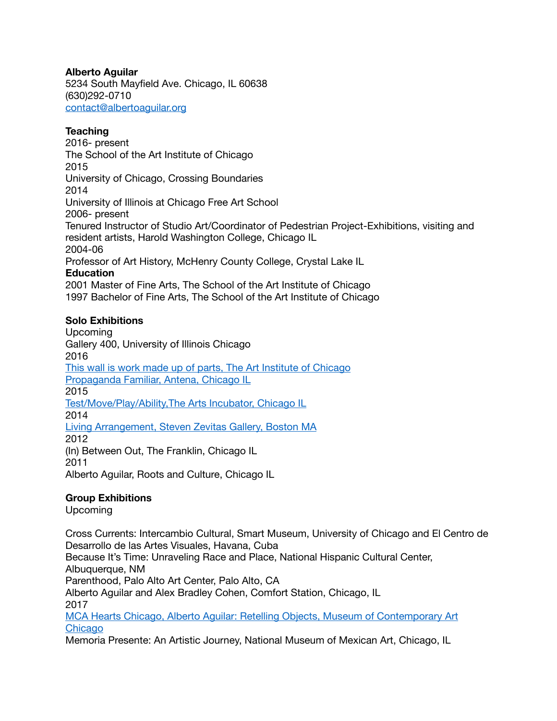#### **Alberto Aguilar**

5234 South Mayfield Ave. Chicago, IL 60638 (630)292-0710 [contact@albertoaguilar.org](mailto:contact@albertoaguilar.org)

#### **Teaching**

2016- present The School of the Art Institute of Chicago 2015 University of Chicago, Crossing Boundaries 2014 University of Illinois at Chicago Free Art School 2006- present Tenured Instructor of Studio Art/Coordinator of Pedestrian Project-Exhibitions, visiting and resident artists, Harold Washington College, Chicago IL 2004-06 Professor of Art History, McHenry County College, Crystal Lake IL **Education** 2001 Master of Fine Arts, The School of the Art Institute of Chicago

1997 Bachelor of Fine Arts, The School of the Art Institute of Chicago

## **Solo Exhibitions**

Upcoming Gallery 400, University of Illinois Chicago 2016 [This wall is work made up of parts, The Art Institute of Chicago](http://www.artic.edu/current-exhibitions) [Propaganda Familiar, Antena, Chicago IL](http://www.antenapilsen.com/blog/2016/3/3/alberto-aguilar-1) 2015 [Test/Move/Play/Ability,The Arts Incubator, Chicago IL](https://arts.uchicago.edu/arts-public-life/programs/exhibitions/archive/testmoveplay-ability) 2014 [Living Arrangement, Steven Zevitas Gallery, Boston MA](http://stevenzevitasgallery.com/alberto-aguilar-living-arrangement) 2012 (In) Between Out, The Franklin, Chicago IL 2011

Alberto Aguilar, Roots and Culture, Chicago IL

## **Group Exhibitions**

Upcoming

Cross Currents: Intercambio Cultural, Smart Museum, University of Chicago and El Centro de Desarrollo de las Artes Visuales, Havana, Cuba Because It's Time: Unraveling Race and Place, National Hispanic Cultural Center, Albuquerque, NM Parenthood, Palo Alto Art Center, Palo Alto, CA Alberto Aguilar and Alex Bradley Cohen, Comfort Station, Chicago, IL 2017 [MCA Hearts Chicago, Alberto Aguilar: Retelling Objects, Museum of Contemporary Art](https://mcachicago.org/Calendar/2017/10/MCA-Hearts-Chicago/Alberto-Aguilar-Retelling-Objects) 

[Chicago](https://mcachicago.org/Calendar/2017/10/MCA-Hearts-Chicago/Alberto-Aguilar-Retelling-Objects) Memoria Presente: An Artistic Journey, National Museum of Mexican Art, Chicago, IL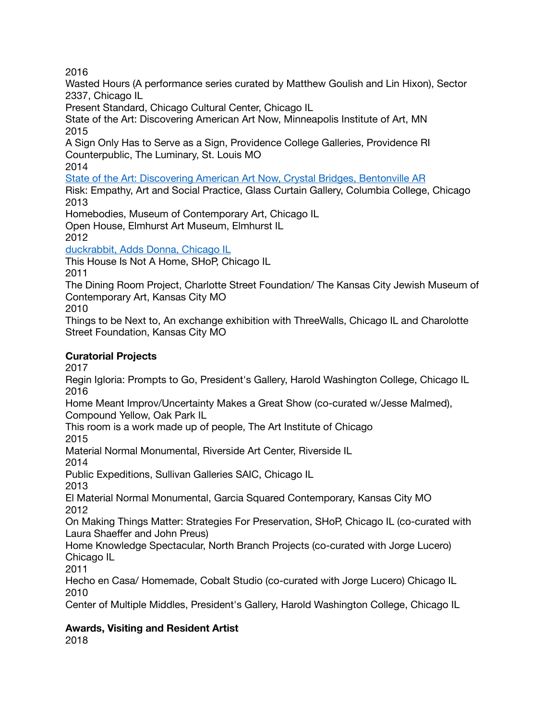2016

Wasted Hours (A performance series curated by Matthew Goulish and Lin Hixon), Sector 2337, Chicago IL

Present Standard, Chicago Cultural Center, Chicago IL

State of the Art: Discovering American Art Now, Minneapolis Institute of Art, MN 2015

A Sign Only Has to Serve as a Sign, Providence College Galleries, Providence RI Counterpublic, The Luminary, St. Louis MO

2014

[State of the Art: Discovering American Art Now, Crystal Bridges, Bentonville AR](http://stateoftheart.crystalbridges.org/#!/alberto-aguilar)

Risk: Empathy, Art and Social Practice, Glass Curtain Gallery, Columbia College, Chicago 2013

Homebodies, Museum of Contemporary Art, Chicago IL

Open House, Elmhurst Art Museum, Elmhurst IL 2012

[duckrabbit, Adds Donna, Chicago IL](http://addsdonna.com/exhibitions/duckrabbit/)

This House Is Not A Home, SHoP, Chicago IL

2011

The Dining Room Project, Charlotte Street Foundation/ The Kansas City Jewish Museum of Contemporary Art, Kansas City MO

2010

Things to be Next to, An exchange exhibition with ThreeWalls, Chicago IL and Charolotte Street Foundation, Kansas City MO

## **Curatorial Projects**

2017

Regin Igloria: Prompts to Go, President's Gallery, Harold Washington College, Chicago IL 2016

Home Meant Improv/Uncertainty Makes a Great Show (co-curated w/Jesse Malmed), Compound Yellow, Oak Park IL

This room is a work made up of people, The Art Institute of Chicago 2015

Material Normal Monumental, Riverside Art Center, Riverside IL

2014

Public Expeditions, Sullivan Galleries SAIC, Chicago IL

2013

El Material Normal Monumental, Garcia Squared Contemporary, Kansas City MO 2012

On Making Things Matter: Strategies For Preservation, SHoP, Chicago IL (co-curated with Laura Shaeffer and John Preus)

Home Knowledge Spectacular, North Branch Projects (co-curated with Jorge Lucero) Chicago IL

2011

Hecho en Casa/ Homemade, Cobalt Studio (co-curated with Jorge Lucero) Chicago IL 2010

Center of Multiple Middles, President's Gallery, Harold Washington College, Chicago IL

# **Awards, Visiting and Resident Artist**

2018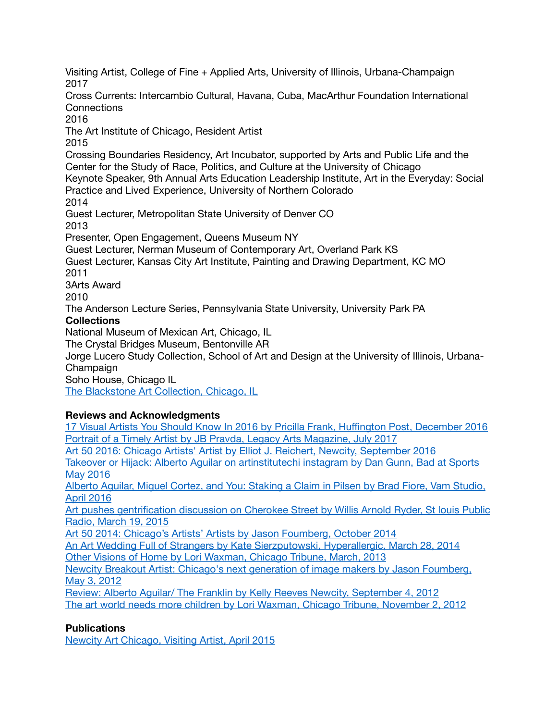Visiting Artist, College of Fine + Applied Arts, University of Illinois, Urbana-Champaign 2017 Cross Currents: Intercambio Cultural, Havana, Cuba, MacArthur Foundation International **Connections** 2016 The Art Institute of Chicago, Resident Artist 2015 Crossing Boundaries Residency, Art Incubator, supported by Arts and Public Life and the Center for the Study of Race, Politics, and Culture at the University of Chicago Keynote Speaker, 9th Annual Arts Education Leadership Institute, Art in the Everyday: Social Practice and Lived Experience, University of Northern Colorado 2014 Guest Lecturer, Metropolitan State University of Denver CO 2013 Presenter, Open Engagement, Queens Museum NY Guest Lecturer, Nerman Museum of Contemporary Art, Overland Park KS Guest Lecturer, Kansas City Art Institute, Painting and Drawing Department, KC MO 2011 3Arts Award 2010 The Anderson Lecture Series, Pennsylvania State University, University Park PA **Collections** National Museum of Mexican Art, Chicago, IL The Crystal Bridges Museum, Bentonville AR Jorge Lucero Study Collection, School of Art and Design at the University of Illinois, Urbana-**Champaign** Soho House, Chicago IL [The Blackstone Art Collection, Chicago, IL](http://www.theblackstonehotel.com/about/art)

## **Reviews and Acknowledgments**

[17 Visual Artists You Should Know In 2016 by Pricilla Frank, Hu](http://www.huffingtonpost.com/entry/17-visual-artists-you-should-know-in-2016_us_5673587ae4b0b958f65620c8)ffington Post, December 2016 [Portrait of a Timely Artist by JB Pravda, Legacy Arts Magazine, July 2017](http://paragonroad.com/alberto-aguilar-portrait-of-a-timely-artist-4/) Art 50 2016: Chicago Artists' Artist by [Elliot J. Reichert, Newcity, September 2016](http://art.newcity.com/2016/09/15/art-50-2016/) [Takeover or Hijack: Alberto Aguilar on artinstitutechi instagram by Dan Gunn, Bad at Sports](http://badatsports.com/2016/takeover-or-hijack-alberto-aguilar-on-artinstitutechi-instagram/)  [May 2016](http://badatsports.com/2016/takeover-or-hijack-alberto-aguilar-on-artinstitutechi-instagram/) [Alberto Aguilar, Miguel Cortez, and You: Staking a Claim in Pilsen by Brad Fiore, Vam Studio,](http://vamstudio.net/portfolio/alberto-aguilar-miguel-cortez-and-you-staking-a-claim-in-pilsen)  [April 2016](http://vamstudio.net/portfolio/alberto-aguilar-miguel-cortez-and-you-staking-a-claim-in-pilsen) Art pushes gentrification discussion on Cherokee Street by Willis Arnold Ryder, St louis Public [Radio, March 19, 2015](http://news.stlpublicradio.org/post/art-pushes-gentrification-discussion-cherokee-street#stream/0) [Art 50 2014: Chicago's Artists' Artists by Jason Foumberg, October 2014](http://art.newcity.com/2014/09/18/art-50-2014-chicagos-artists-artists/) [An Art Wedding Full of Strangers by Kate Sierzputowski, Hyperallergic, March 28, 2014](http://hyperallergic.com/117210/an-art-wedding-full-of-strangers/) [Other Visions of Home by Lori Waxman, Chicago Tribune, March, 2013](http://articles.chicagotribune.com/2013-03-06/entertainment/ct-ent-0307-elmhurst-art-review-20130306_1_elmhurst-art-museum-fixtures-childhood-home) [Newcity Breakout Artist: Chicago's next generation of image makers by Jason Foumberg,](http://art.newcity.com/2012/05/03/breakout-artists-2012-chicagos-next-generation-of-image-makers-2/2/)  [May 3, 2012](http://art.newcity.com/2012/05/03/breakout-artists-2012-chicagos-next-generation-of-image-makers-2/2/) [Review: Alberto Aguilar/ The Franklin by Kelly Reeves Newcity, September 4, 2012](http://art.newcity.com/2012/09/04/review-alberto-aguilarthe-franklin/) [The art world needs more children by Lori Waxman, Chicago Tribune, November 2, 2012](http://articles.chicagotribune.com/2011-11-02/entertainment/ct-ent-1103-aguilar-waxman-review-20111102_1_alberto-aguilar-art-world-photographs)

## **Publications**

[Newcity Art Chicago, Visiting Artist, April 2015](http://art.newcity.com/2015/04/16/visiting-artist-alberto-aguilar/)